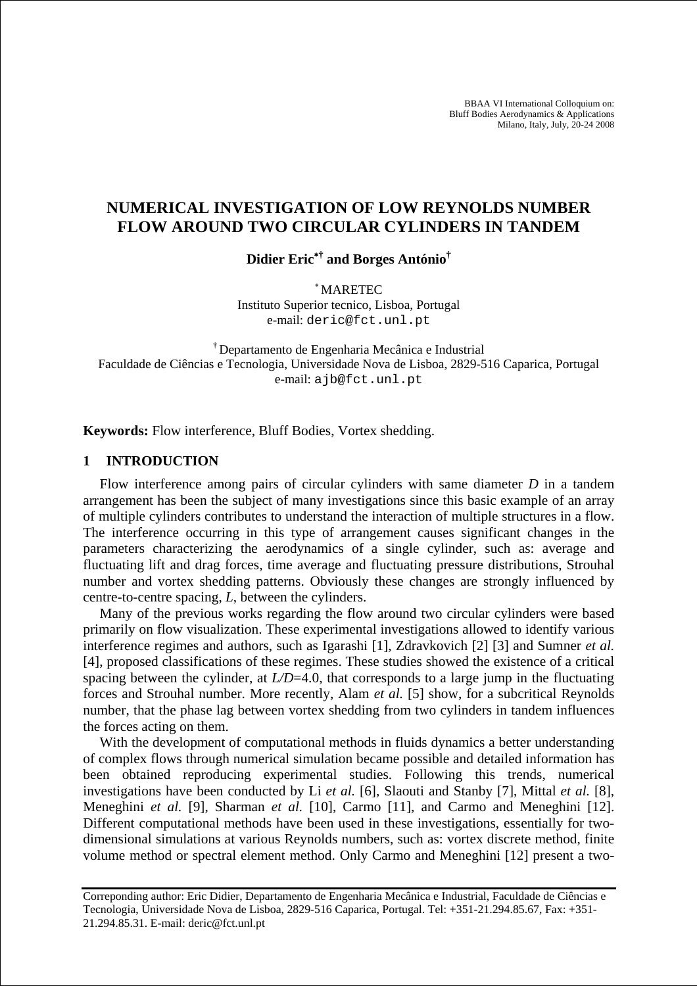BBAA VI International Colloquium on: Bluff Bodies Aerodynamics & Applications Milano, Italy, July, 20-24 2008

# **NUMERICAL INVESTIGATION OF LOW REYNOLDS NUMBER FLOW AROUND TWO CIRCULAR CYLINDERS IN TANDEM**

**Didier Eric**<sup>∗</sup>**† and Borges António†**

<sup>∗</sup> MARETEC

Instituto Superior tecnico, Lisboa, Portugal e-mail: deric@fct.unl.pt

† Departamento de Engenharia Mecânica e Industrial Faculdade de Ciências e Tecnologia, Universidade Nova de Lisboa, 2829-516 Caparica, Portugal e-mail: ajb@fct.unl.pt

**Keywords:** Flow interference, Bluff Bodies, Vortex shedding.

## **1 INTRODUCTION**

Flow interference among pairs of circular cylinders with same diameter *D* in a tandem arrangement has been the subject of many investigations since this basic example of an array of multiple cylinders contributes to understand the interaction of multiple structures in a flow. The interference occurring in this type of arrangement causes significant changes in the parameters characterizing the aerodynamics of a single cylinder, such as: average and fluctuating lift and drag forces, time average and fluctuating pressure distributions, Strouhal number and vortex shedding patterns. Obviously these changes are strongly influenced by centre-to-centre spacing, *L*, between the cylinders.

Many of the previous works regarding the flow around two circular cylinders were based primarily on flow visualization. These experimental investigations allowed to identify various interference regimes and authors, such as Igarashi [1], Zdravkovich [2] [3] and Sumner *et al.* [4], proposed classifications of these regimes. These studies showed the existence of a critical spacing between the cylinder, at *L/D*=4.0, that corresponds to a large jump in the fluctuating forces and Strouhal number. More recently, Alam *et al.* [5] show, for a subcritical Reynolds number, that the phase lag between vortex shedding from two cylinders in tandem influences the forces acting on them.

With the development of computational methods in fluids dynamics a better understanding of complex flows through numerical simulation became possible and detailed information has been obtained reproducing experimental studies. Following this trends, numerical investigations have been conducted by Li *et al.* [6], Slaouti and Stanby [7], Mittal *et al.* [8], Meneghini *et al.* [9], Sharman *et al.* [10], Carmo [11], and Carmo and Meneghini [12]. Different computational methods have been used in these investigations, essentially for twodimensional simulations at various Reynolds numbers, such as: vortex discrete method, finite volume method or spectral element method. Only Carmo and Meneghini [12] present a two-

Correponding author: Eric Didier, Departamento de Engenharia Mecânica e Industrial, Faculdade de Ciências e Tecnologia, Universidade Nova de Lisboa, 2829-516 Caparica, Portugal. Tel: +351-21.294.85.67, Fax: +351- 21.294.85.31. E-mail: deric@fct.unl.pt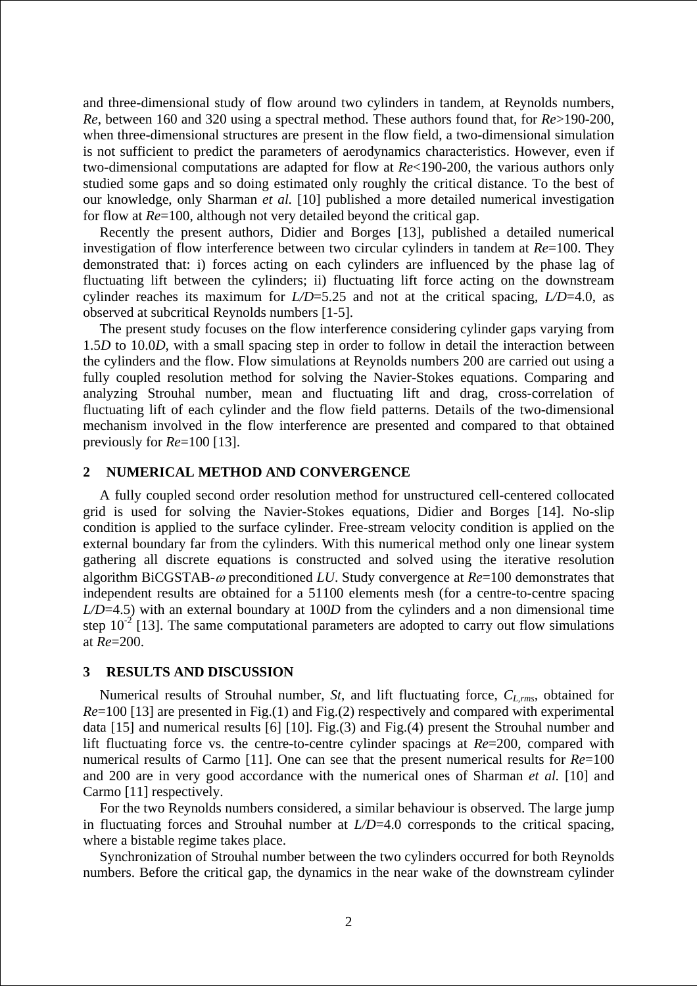and three-dimensional study of flow around two cylinders in tandem, at Reynolds numbers, *Re*, between 160 and 320 using a spectral method. These authors found that, for *Re*>190-200, when three-dimensional structures are present in the flow field, a two-dimensional simulation is not sufficient to predict the parameters of aerodynamics characteristics. However, even if two-dimensional computations are adapted for flow at *Re*<190-200, the various authors only studied some gaps and so doing estimated only roughly the critical distance. To the best of our knowledge, only Sharman *et al.* [10] published a more detailed numerical investigation for flow at *Re*=100, although not very detailed beyond the critical gap.

Recently the present authors, Didier and Borges [13], published a detailed numerical investigation of flow interference between two circular cylinders in tandem at *Re*=100. They demonstrated that: i) forces acting on each cylinders are influenced by the phase lag of fluctuating lift between the cylinders; ii) fluctuating lift force acting on the downstream cylinder reaches its maximum for *L/D*=5.25 and not at the critical spacing, *L/D*=4.0, as observed at subcritical Reynolds numbers [1-5].

The present study focuses on the flow interference considering cylinder gaps varying from 1.5*D* to 10.0*D*, with a small spacing step in order to follow in detail the interaction between the cylinders and the flow. Flow simulations at Reynolds numbers 200 are carried out using a fully coupled resolution method for solving the Navier-Stokes equations. Comparing and analyzing Strouhal number, mean and fluctuating lift and drag, cross-correlation of fluctuating lift of each cylinder and the flow field patterns. Details of the two-dimensional mechanism involved in the flow interference are presented and compared to that obtained previously for *Re*=100 [13].

### **2 NUMERICAL METHOD AND CONVERGENCE**

A fully coupled second order resolution method for unstructured cell-centered collocated grid is used for solving the Navier-Stokes equations, Didier and Borges [14]. No-slip condition is applied to the surface cylinder. Free-stream velocity condition is applied on the external boundary far from the cylinders. With this numerical method only one linear system gathering all discrete equations is constructed and solved using the iterative resolution algorithm BiCGSTAB-ω preconditioned *LU*. Study convergence at *Re*=100 demonstrates that independent results are obtained for a 51100 elements mesh (for a centre-to-centre spacing *L/D*=4.5) with an external boundary at 100*D* from the cylinders and a non dimensional time step  $10^{-2}$  [13]. The same computational parameters are adopted to carry out flow simulations at *Re*=200.

### **3 RESULTS AND DISCUSSION**

Numerical results of Strouhal number, *St*, and lift fluctuating force,  $C_{L,rms}$ , obtained for *Re*=100 [13] are presented in Fig.(1) and Fig.(2) respectively and compared with experimental data [15] and numerical results [6] [10]. Fig.(3) and Fig.(4) present the Strouhal number and lift fluctuating force vs. the centre-to-centre cylinder spacings at *Re*=200, compared with numerical results of Carmo [11]. One can see that the present numerical results for *Re*=100 and 200 are in very good accordance with the numerical ones of Sharman *et al.* [10] and Carmo [11] respectively.

For the two Reynolds numbers considered, a similar behaviour is observed. The large jump in fluctuating forces and Strouhal number at *L/D*=4.0 corresponds to the critical spacing, where a bistable regime takes place.

Synchronization of Strouhal number between the two cylinders occurred for both Reynolds numbers. Before the critical gap, the dynamics in the near wake of the downstream cylinder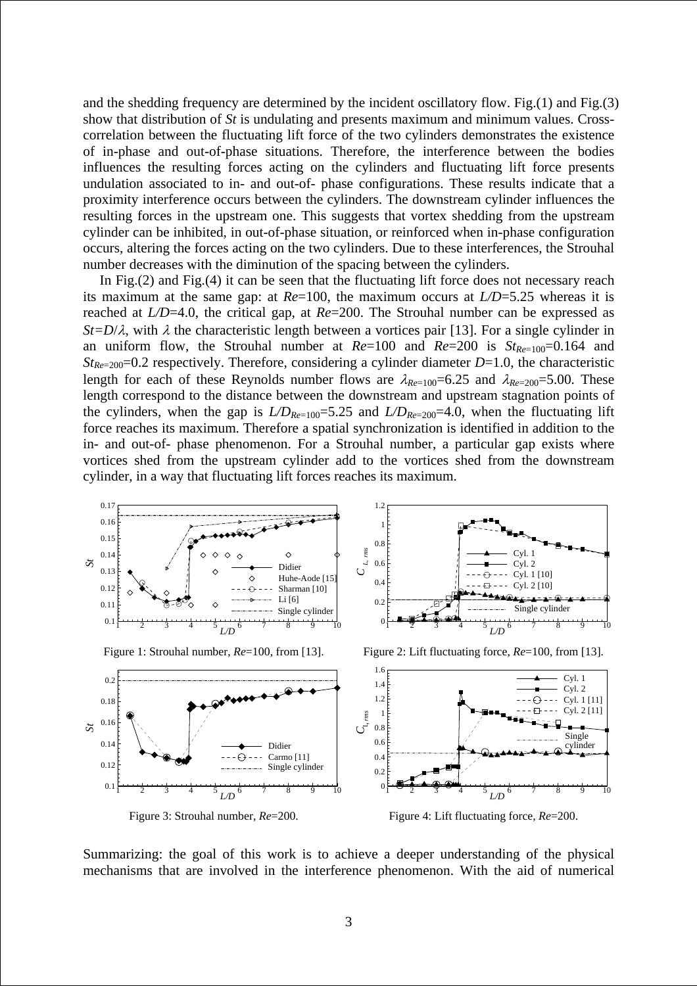and the shedding frequency are determined by the incident oscillatory flow. Fig.(1) and Fig.(3) show that distribution of *St* is undulating and presents maximum and minimum values. Crosscorrelation between the fluctuating lift force of the two cylinders demonstrates the existence of in-phase and out-of-phase situations. Therefore, the interference between the bodies influences the resulting forces acting on the cylinders and fluctuating lift force presents undulation associated to in- and out-of- phase configurations. These results indicate that a proximity interference occurs between the cylinders. The downstream cylinder influences the resulting forces in the upstream one. This suggests that vortex shedding from the upstream cylinder can be inhibited, in out-of-phase situation, or reinforced when in-phase configuration occurs, altering the forces acting on the two cylinders. Due to these interferences, the Strouhal number decreases with the diminution of the spacing between the cylinders.

In Fig.(2) and Fig.(4) it can be seen that the fluctuating lift force does not necessary reach its maximum at the same gap: at *Re*=100, the maximum occurs at *L/D*=5.25 whereas it is reached at *L/D*=4.0, the critical gap, at *Re*=200. The Strouhal number can be expressed as *St=D/* $\lambda$ , with  $\lambda$  the characteristic length between a vortices pair [13]. For a single cylinder in an uniform flow, the Strouhal number at  $Re=100$  and  $Re=200$  is  $St_{Re=100}=0.164$  and *StRe*=200=0.2 respectively. Therefore, considering a cylinder diameter *D*=1.0, the characteristic length for each of these Reynolds number flows are  $\lambda_{Re=100}=6.25$  and  $\lambda_{Re=200}=5.00$ . These length correspond to the distance between the downstream and upstream stagnation points of the cylinders, when the gap is  $LD_{Re=100}=5.25$  and  $LD_{Re=200}=4.0$ , when the fluctuating lift force reaches its maximum. Therefore a spatial synchronization is identified in addition to the in- and out-of- phase phenomenon. For a Strouhal number, a particular gap exists where vortices shed from the upstream cylinder add to the vortices shed from the downstream cylinder, in a way that fluctuating lift forces reaches its maximum.



Summarizing: the goal of this work is to achieve a deeper understanding of the physical mechanisms that are involved in the interference phenomenon. With the aid of numerical